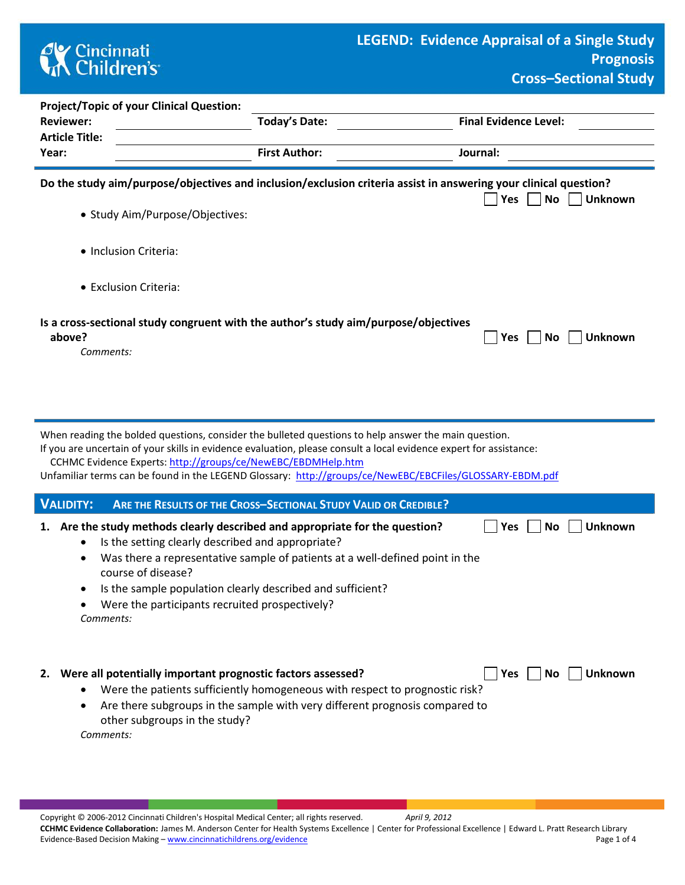

| <b>Project/Topic of your Clinical Question:</b> |                                                                                     |                                                                                                                                                        |
|-------------------------------------------------|-------------------------------------------------------------------------------------|--------------------------------------------------------------------------------------------------------------------------------------------------------|
| <b>Reviewer:</b>                                | <b>Today's Date:</b>                                                                | <b>Final Evidence Level:</b>                                                                                                                           |
| <b>Article Title:</b>                           |                                                                                     |                                                                                                                                                        |
| Year:                                           | <b>First Author:</b>                                                                | Journal:                                                                                                                                               |
|                                                 |                                                                                     | Do the study aim/purpose/objectives and inclusion/exclusion criteria assist in answering your clinical question?<br><b>Unknown</b><br>Yes<br><b>No</b> |
| • Study Aim/Purpose/Objectives:                 |                                                                                     |                                                                                                                                                        |
| • Inclusion Criteria:                           |                                                                                     |                                                                                                                                                        |
| • Exclusion Criteria:                           |                                                                                     |                                                                                                                                                        |
| above?                                          | Is a cross-sectional study congruent with the author's study aim/purpose/objectives | <b>Unknown</b><br><b>Yes</b><br><b>No</b>                                                                                                              |

*Comments:* 

When reading the bolded questions, consider the bulleted questions to help answer the main question.

If you are uncertain of your skills in evidence evaluation, please consult a local evidence expert for assistance: CCHMC Evidence Experts:<http://groups/ce/NewEBC/EBDMHelp.htm>

Unfamiliar terms can be found in the LEGEND Glossary: <http://groups/ce/NewEBC/EBCFiles/GLOSSARY-EBDM.pdf>

| VALIDITY: ARE THE RESULTS OF THE CROSS-SECTIONAL STUDY VALID OR CREDIBLE?    |                      |
|------------------------------------------------------------------------------|----------------------|
| 1. Are the study methods clearly described and appropriate for the question? | ■ Yes ■ No ■ Unknown |

- Is the setting clearly described and appropriate?
- Was there a representative sample of patients at a well-defined point in the course of disease?
- Is the sample population clearly described and sufficient?
- Were the participants recruited prospectively?

*Comments:* 

**2.** Were all potentially important prognostic factors assessed? **The Ves No Unknown** 

- Were the patients sufficiently homogeneous with respect to prognostic risk?
- Are there subgroups in the sample with very different prognosis compared to other subgroups in the study?

*Comments:*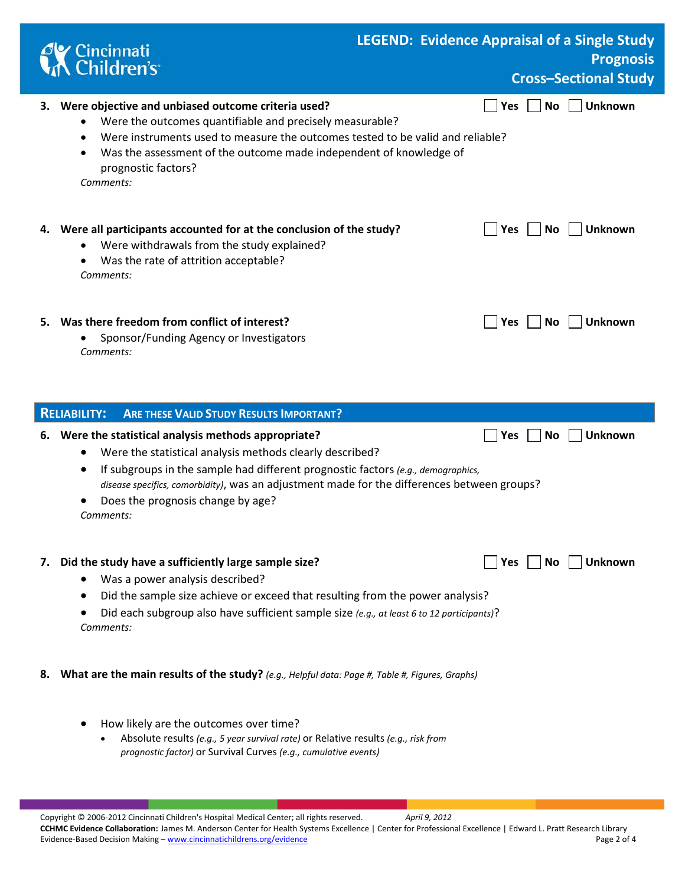|    | Cincinnati<br>A Children's                                                                                                                                                                                                                                                                                                                                                       |  |                     |           | <b>LEGEND: Evidence Appraisal of a Single Study</b><br><b>Prognosis</b><br><b>Cross-Sectional Study</b> |
|----|----------------------------------------------------------------------------------------------------------------------------------------------------------------------------------------------------------------------------------------------------------------------------------------------------------------------------------------------------------------------------------|--|---------------------|-----------|---------------------------------------------------------------------------------------------------------|
| 3. | Were objective and unbiased outcome criteria used?<br>Were the outcomes quantifiable and precisely measurable?<br>Were instruments used to measure the outcomes tested to be valid and reliable?<br>$\bullet$<br>Was the assessment of the outcome made independent of knowledge of<br>$\bullet$<br>prognostic factors?<br>Comments:                                             |  | <b>Yes</b>          | No        | <b>Unknown</b>                                                                                          |
|    | 4. Were all participants accounted for at the conclusion of the study?<br>Were withdrawals from the study explained?<br>Was the rate of attrition acceptable?<br>Comments:                                                                                                                                                                                                       |  | Yes                 | <b>No</b> | <b>Unknown</b>                                                                                          |
|    | 5. Was there freedom from conflict of interest?<br>Sponsor/Funding Agency or Investigators<br>Comments:                                                                                                                                                                                                                                                                          |  | Yes                 | <b>No</b> | <b>Unknown</b>                                                                                          |
|    | <b>ARE THESE VALID STUDY RESULTS IMPORTANT?</b><br><b>RELIABILITY:</b>                                                                                                                                                                                                                                                                                                           |  |                     |           |                                                                                                         |
|    | 6. Were the statistical analysis methods appropriate?<br>Were the statistical analysis methods clearly described?<br>$\bullet$<br>If subgroups in the sample had different prognostic factors (e.g., demographics,<br>$\bullet$<br>disease specifics, comorbidity), was an adjustment made for the differences between groups?<br>Does the prognosis change by age?<br>Comments: |  | Yes                 | <b>No</b> | <b>Unknown</b>                                                                                          |
|    | 7. Did the study have a sufficiently large sample size?<br>Was a power analysis described?<br>Did the sample size achieve or exceed that resulting from the power analysis?<br>Did each subgroup also have sufficient sample size (e.g., at least 6 to 12 participants)?<br>Comments:                                                                                            |  | Yes $\vert$ $\vert$ | No.       | <b>Unknown</b>                                                                                          |
| 8. | What are the main results of the study? (e.g., Helpful data: Page #, Table #, Figures, Graphs)                                                                                                                                                                                                                                                                                   |  |                     |           |                                                                                                         |
|    | How likely are the outcomes over time?<br>Absolute results (e.g., 5 year survival rate) or Relative results (e.g., risk from<br>prognostic factor) or Survival Curves (e.g., cumulative events)                                                                                                                                                                                  |  |                     |           |                                                                                                         |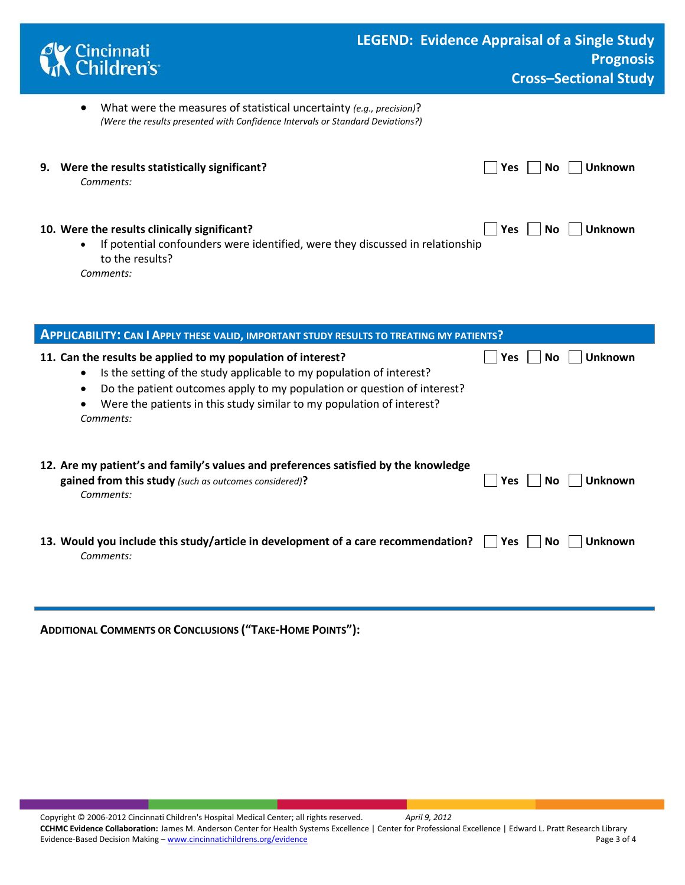| Cincinnati<br>Children's                                                                                                                                                   | <b>LEGEND: Evidence Appraisal of a Single Study</b><br><b>Prognosis</b><br><b>Cross-Sectional Study</b> |
|----------------------------------------------------------------------------------------------------------------------------------------------------------------------------|---------------------------------------------------------------------------------------------------------|
| What were the measures of statistical uncertainty (e.g., precision)?<br>$\bullet$<br>(Were the results presented with Confidence Intervals or Standard Deviations?)        |                                                                                                         |
| Were the results statistically significant?<br>9.<br>Comments:                                                                                                             | <b>Unknown</b><br><b>Yes</b><br>Nο                                                                      |
| 10. Were the results clinically significant?<br>If potential confounders were identified, were they discussed in relationship<br>$\bullet$<br>to the results?<br>Comments: | <b>Yes</b><br>Unknown<br>No                                                                             |

| <b>APPLICABILITY: CAN I APPLY THESE VALID, IMPORTANT STUDY RESULTS TO TREATING MY PATIENTS?</b> |                                                                                                                                                                                                                                                                                                                                              |                               |  |  |
|-------------------------------------------------------------------------------------------------|----------------------------------------------------------------------------------------------------------------------------------------------------------------------------------------------------------------------------------------------------------------------------------------------------------------------------------------------|-------------------------------|--|--|
|                                                                                                 | 11. Can the results be applied to my population of interest?<br>Is the setting of the study applicable to my population of interest?<br>$\bullet$<br>Do the patient outcomes apply to my population or question of interest?<br>$\bullet$<br>Were the patients in this study similar to my population of interest?<br>$\bullet$<br>Comments: | Unknown<br><b>Yes</b><br>No.  |  |  |
|                                                                                                 | 12. Are my patient's and family's values and preferences satisfied by the knowledge<br>gained from this study (such as outcomes considered)?<br>Comments:                                                                                                                                                                                    | <b>Unknown</b><br>Yes.<br>No. |  |  |
|                                                                                                 | 13. Would you include this study/article in development of a care recommendation?<br>Comments:                                                                                                                                                                                                                                               | Unknown<br>Yes<br>No.         |  |  |

**ADDITIONAL COMMENTS OR CONCLUSIONS ("TAKE-HOME POINTS"):** 

ı